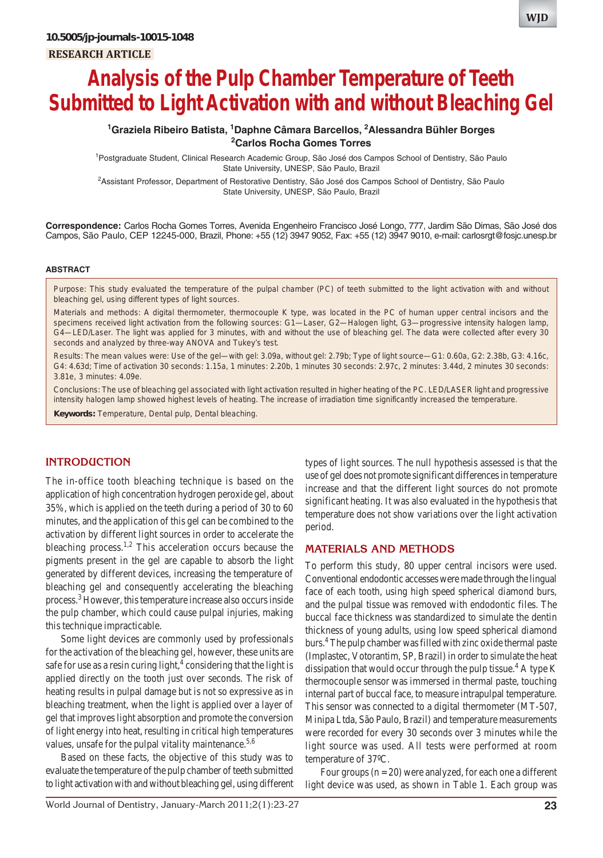# **Analysis of the Pulp Chamber Temperature of Teeth Submitted to Light Activation with and without Bleaching Gel**

# **1 Graziela Ribeiro Batista, 1 Daphne Câmara Barcellos, 2 Alessandra Bühler Borges 2 Carlos Rocha Gomes Torres**

1 Postgraduate Student, Clinical Research Academic Group, São José dos Campos School of Dentistry, São Paulo State University, UNESP, São Paulo, Brazil

<sup>2</sup>Assistant Professor, Department of Restorative Dentistry, São José dos Campos School of Dentistry, São Paulo State University, UNESP, São Paulo, Brazil

**Correspondence:** Carlos Rocha Gomes Torres, Avenida Engenheiro Francisco José Longo, 777, Jardim São Dimas, São José dos Campos, São Paulo, CEP 12245-000, Brazil, Phone: +55 (12) 3947 9052, Fax: +55 (12) 3947 9010, e-mail: carlosrgt@fosjc.unesp.br

#### **ABSTRACT**

*Purpose*: This study evaluated the temperature of the pulpal chamber (PC) of teeth submitted to the light activation with and without bleaching gel, using different types of light sources.

*Materials and methods*: A digital thermometer, thermocouple K type, was located in the PC of human upper central incisors and the specimens received light activation from the following sources: G1—Laser, G2—Halogen light, G3—progressive intensity halogen lamp, G4—LED/Laser. The light was applied for 3 minutes, with and without the use of bleaching gel. The data were collected after every 30 seconds and analyzed by three-way ANOVA and Tukey's test.

*Results*: The mean values were: Use of the gel—with gel: 3.09a, without gel: 2.79b; Type of light source—G1: 0.60a, G2: 2.38b, G3: 4.16c, G4: 4.63d; Time of activation 30 seconds: 1.15a, 1 minutes: 2.20b, 1 minutes 30 seconds: 2.97c, 2 minutes: 3.44d, 2 minutes 30 seconds: 3.81e, 3 minutes: 4.09e.

*Conclusions*: The use of bleaching gel associated with light activation resulted in higher heating of the PC. LED/LASER light and progressive intensity halogen lamp showed highest levels of heating. The increase of irradiation time significantly increased the temperature.

**Keywords:** Temperature, Dental pulp, Dental bleaching.

# **INTRODUCTION**

The in-office tooth bleaching technique is based on the application of high concentration hydrogen peroxide gel, about 35%, which is applied on the teeth during a period of 30 to 60 minutes, and the application of this gel can be combined to the activation by different light sources in order to accelerate the bleaching process.<sup>1,2</sup> This acceleration occurs because the pigments present in the gel are capable to absorb the light generated by different devices, increasing the temperature of bleaching gel and consequently accelerating the bleaching process.<sup>3</sup> However, this temperature increase also occurs inside the pulp chamber, which could cause pulpal injuries, making this technique impracticable.

Some light devices are commonly used by professionals for the activation of the bleaching gel, however, these units are safe for use as a resin curing light, $<sup>4</sup>$  considering that the light is</sup> applied directly on the tooth just over seconds. The risk of heating results in pulpal damage but is not so expressive as in bleaching treatment, when the light is applied over a layer of gel that improves light absorption and promote the conversion of light energy into heat, resulting in critical high temperatures values, unsafe for the pulpal vitality maintenance.<sup>5,6</sup>

Based on these facts, the objective of this study was to evaluate the temperature of the pulp chamber of teeth submitted to light activation with and without bleaching gel, using different types of light sources. The null hypothesis assessed is that the use of gel does not promote significant differences in temperature increase and that the different light sources do not promote significant heating. It was also evaluated in the hypothesis that temperature does not show variations over the light activation period.

#### **MATERIALS AND METHODS**

To perform this study, 80 upper central incisors were used. Conventional endodontic accesses were made through the lingual face of each tooth, using high speed spherical diamond burs, and the pulpal tissue was removed with endodontic files. The buccal face thickness was standardized to simulate the dentin thickness of young adults, using low speed spherical diamond burs.4 The pulp chamber was filled with zinc oxide thermal paste (Implastec, Votorantim, SP, Brazil) in order to simulate the heat dissipation that would occur through the pulp tissue.<sup>4</sup> A type K thermocouple sensor was immersed in thermal paste, touching internal part of buccal face, to measure intrapulpal temperature. This sensor was connected to a digital thermometer (MT-507, Minipa Ltda, São Paulo, Brazil) and temperature measurements were recorded for every 30 seconds over 3 minutes while the light source was used. All tests were performed at room temperature of 37ºC.

Four groups  $(n = 20)$  were analyzed, for each one a different light device was used, as shown in Table 1. Each group was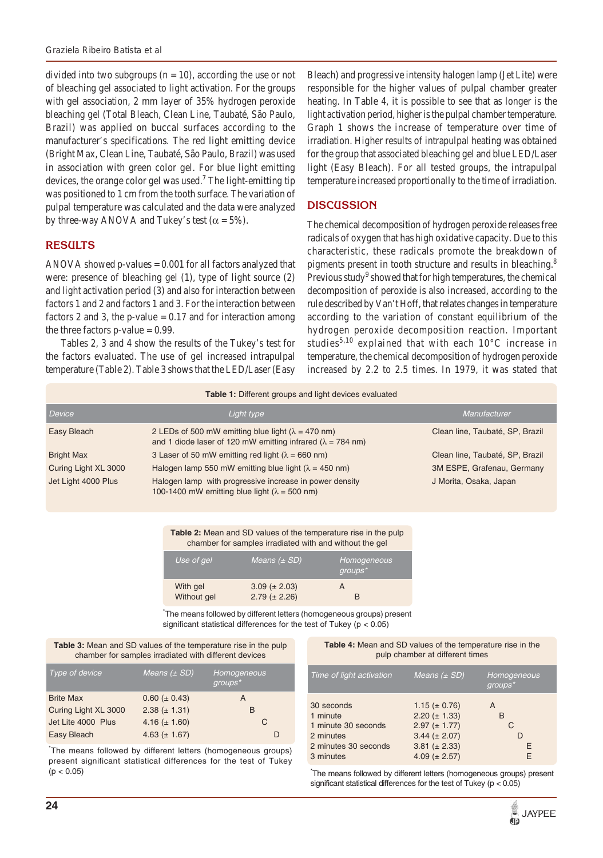divided into two subgroups  $(n = 10)$ , according the use or not of bleaching gel associated to light activation. For the groups with gel association, 2 mm layer of 35% hydrogen peroxide bleaching gel (Total Bleach, Clean Line, Taubaté, São Paulo, Brazil) was applied on buccal surfaces according to the manufacturer's specifications. The red light emitting device (Bright Max, Clean Line, Taubaté, São Paulo, Brazil) was used in association with green color gel. For blue light emitting devices, the orange color gel was used.<sup>7</sup> The light-emitting tip was positioned to 1 cm from the tooth surface. The variation of pulpal temperature was calculated and the data were analyzed by three-way ANOVA and Tukey's test ( $\alpha = 5\%$ ).

## **RESULTS**

ANOVA showed p-values  $= 0.001$  for all factors analyzed that were: presence of bleaching gel (1), type of light source (2) and light activation period (3) and also for interaction between factors 1 and 2 and factors 1 and 3. For the interaction between factors 2 and 3, the p-value  $= 0.17$  and for interaction among the three factors  $p$ -value = 0.99.

Tables 2, 3 and 4 show the results of the Tukey's test for the factors evaluated. The use of gel increased intrapulpal temperature (Table 2). Table 3 shows that the LED/Laser (Easy Bleach) and progressive intensity halogen lamp (Jet Lite) were responsible for the higher values of pulpal chamber greater heating. In Table 4, it is possible to see that as longer is the light activation period, higher is the pulpal chamber temperature. Graph 1 shows the increase of temperature over time of irradiation. Higher results of intrapulpal heating was obtained for the group that associated bleaching gel and blue LED/Laser light (Easy Bleach). For all tested groups, the intrapulpal temperature increased proportionally to the time of irradiation.

#### **DISCUSSION**

The chemical decomposition of hydrogen peroxide releases free radicals of oxygen that has high oxidative capacity. Due to this characteristic, these radicals promote the breakdown of pigments present in tooth structure and results in bleaching.<sup>8</sup> Previous study<sup>9</sup> showed that for high temperatures, the chemical decomposition of peroxide is also increased, according to the rule described by Van't Hoff, that relates changes in temperature according to the variation of constant equilibrium of the hydrogen peroxide decomposition reaction. Important studies<sup>5,10</sup> explained that with each  $10^{\circ}$ C increase in temperature, the chemical decomposition of hydrogen peroxide increased by 2.2 to 2.5 times. In 1979, it was stated that

| <b>Table 1:</b> Different groups and light devices evaluated |                                                                                                                                   |                                 |  |  |
|--------------------------------------------------------------|-----------------------------------------------------------------------------------------------------------------------------------|---------------------------------|--|--|
| Device                                                       | Light type                                                                                                                        | <b>Manufacturer</b>             |  |  |
| Easy Bleach                                                  | 2 LEDs of 500 mW emitting blue light ( $\lambda$ = 470 nm)<br>and 1 diode laser of 120 mW emitting infrared ( $\lambda$ = 784 nm) | Clean line, Taubaté, SP, Brazil |  |  |
| <b>Bright Max</b>                                            | 3 Laser of 50 mW emitting red light ( $\lambda$ = 660 nm)                                                                         | Clean line, Taubaté, SP, Brazil |  |  |
| Curing Light XL 3000                                         | Halogen lamp 550 mW emitting blue light ( $\lambda$ = 450 nm)                                                                     | 3M ESPE, Grafenau, Germany      |  |  |
| Jet Light 4000 Plus                                          | Halogen lamp with progressive increase in power density<br>100-1400 mW emitting blue light ( $\lambda$ = 500 nm)                  | J Morita, Osaka, Japan          |  |  |

**Table 2:** Mean and SD values of the temperature rise in the pulp chamber for samples irradiated with and without the gel

| Use of gel  | Means $(\pm SD)$    | Homogeneous<br>$groups^*$ |
|-------------|---------------------|---------------------------|
| With gel    | $3.09 \ (\pm 2.03)$ | А                         |
| Without gel | $2.79 \ (\pm 2.26)$ | R                         |

\* The means followed by different letters (homogeneous groups) present significant statistical differences for the test of Tukey (p < 0.05)

**Table 3:** Mean and SD values of the temperature rise in the pulp chamber for samples irradiated with different devices

| Type of device       | Means $(\pm SD)$   | Homogeneous<br>$groups*$ |
|----------------------|--------------------|--------------------------|
| <b>Brite Max</b>     | $0.60 (\pm 0.43)$  | А                        |
| Curing Light XL 3000 | $2.38 (\pm 1.31)$  | в                        |
| Jet Lite 4000 Plus   | 4.16 $(\pm 1.60)$  | C                        |
| Easy Bleach          | 4.63 ( $\pm$ 1.67) | D                        |

\* The means followed by different letters (homogeneous groups) present significant statistical differences for the test of Tukey  $(p < 0.05)$ 

#### **Table 4:** Mean and SD values of the temperature rise in the pulp chamber at different times

| Time of light activation                                                                        | Means $(\pm SD)$                                                                                                             | Homogeneous<br>$qroups*$ |
|-------------------------------------------------------------------------------------------------|------------------------------------------------------------------------------------------------------------------------------|--------------------------|
| 30 seconds<br>1 minute<br>1 minute 30 seconds<br>2 minutes<br>2 minutes 30 seconds<br>3 minutes | 1.15 ( $\pm$ 0.76)<br>$2.20 (\pm 1.33)$<br>$2.97 (\pm 1.77)$<br>$3.44 (\pm 2.07)$<br>$3.81 (\pm 2.33)$<br>4.09 ( $\pm$ 2.57) | A<br>в<br>C<br>F<br>F    |

\* The means followed by different letters (homogeneous groups) present significant statistical differences for the test of Tukey (p < 0.05)

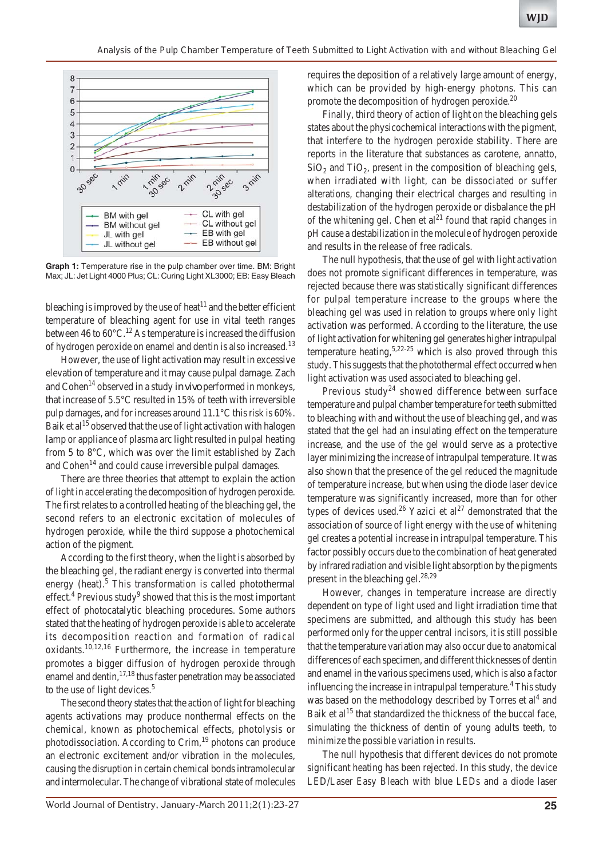

**Graph 1:** Temperature rise in the pulp chamber over time. BM: Bright Max; JL: Jet Light 4000 Plus; CL: Curing Light XL3000; EB: Easy Bleach

bleaching is improved by the use of heat<sup>11</sup> and the better efficient temperature of bleaching agent for use in vital teeth ranges between 46 to  $60^{\circ}$ C.<sup>12</sup> As temperature is increased the diffusion of hydrogen peroxide on enamel and dentin is also increased.<sup>13</sup>

However, the use of light activation may result in excessive elevation of temperature and it may cause pulpal damage. Zach and Cohen<sup>14</sup> observed in a study *in vivo* performed in monkeys, that increase of 5.5°C resulted in 15% of teeth with irreversible pulp damages, and for increases around 11.1°C this risk is 60%. Baik et  $al<sup>15</sup>$  observed that the use of light activation with halogen lamp or appliance of plasma arc light resulted in pulpal heating from 5 to 8°C, which was over the limit established by Zach and Cohen<sup>14</sup> and could cause irreversible pulpal damages.

There are three theories that attempt to explain the action of light in accelerating the decomposition of hydrogen peroxide. The first relates to a controlled heating of the bleaching gel, the second refers to an electronic excitation of molecules of hydrogen peroxide, while the third suppose a photochemical action of the pigment.

According to the first theory, when the light is absorbed by the bleaching gel, the radiant energy is converted into thermal energy (heat). $5$  This transformation is called photothermal effect.<sup>4</sup> Previous study<sup>9</sup> showed that this is the most important effect of photocatalytic bleaching procedures. Some authors stated that the heating of hydrogen peroxide is able to accelerate its decomposition reaction and formation of radical oxidants.10,12,16 Furthermore, the increase in temperature promotes a bigger diffusion of hydrogen peroxide through enamel and dentin,<sup>17,18</sup> thus faster penetration may be associated to the use of light devices.<sup>5</sup>

The second theory states that the action of light for bleaching agents activations may produce nonthermal effects on the chemical, known as photochemical effects, photolysis or photodissociation. According to Crim,<sup>19</sup> photons can produce an electronic excitement and/or vibration in the molecules, causing the disruption in certain chemical bonds intramolecular and intermolecular. The change of vibrational state of molecules requires the deposition of a relatively large amount of energy, which can be provided by high-energy photons. This can promote the decomposition of hydrogen peroxide.<sup>20</sup>

Finally, third theory of action of light on the bleaching gels states about the physicochemical interactions with the pigment, that interfere to the hydrogen peroxide stability. There are reports in the literature that substances as carotene, annatto,  $SiO<sub>2</sub>$  and TiO<sub>2</sub>, present in the composition of bleaching gels, when irradiated with light, can be dissociated or suffer alterations, changing their electrical charges and resulting in destabilization of the hydrogen peroxide or disbalance the pH of the whitening gel. Chen et  $al<sup>21</sup>$  found that rapid changes in pH cause a destabilization in the molecule of hydrogen peroxide and results in the release of free radicals.

The null hypothesis, that the use of gel with light activation does not promote significant differences in temperature, was rejected because there was statistically significant differences for pulpal temperature increase to the groups where the bleaching gel was used in relation to groups where only light activation was performed. According to the literature, the use of light activation for whitening gel generates higher intrapulpal temperature heating,<sup>5,22-25</sup> which is also proved through this study. This suggests that the photothermal effect occurred when light activation was used associated to bleaching gel.

Previous study<sup>24</sup> showed difference between surface temperature and pulpal chamber temperature for teeth submitted to bleaching with and without the use of bleaching gel, and was stated that the gel had an insulating effect on the temperature increase, and the use of the gel would serve as a protective layer minimizing the increase of intrapulpal temperature. It was also shown that the presence of the gel reduced the magnitude of temperature increase, but when using the diode laser device temperature was significantly increased, more than for other types of devices used.<sup>26</sup> Yazici et al<sup>27</sup> demonstrated that the association of source of light energy with the use of whitening gel creates a potential increase in intrapulpal temperature. This factor possibly occurs due to the combination of heat generated by infrared radiation and visible light absorption by the pigments present in the bleaching gel. $^{28,29}$ 

However, changes in temperature increase are directly dependent on type of light used and light irradiation time that specimens are submitted, and although this study has been performed only for the upper central incisors, it is still possible that the temperature variation may also occur due to anatomical differences of each specimen, and different thicknesses of dentin and enamel in the various specimens used, which is also a factor influencing the increase in intrapulpal temperature.<sup>4</sup> This study was based on the methodology described by Torres et al<sup>4</sup> and Baik et al<sup>15</sup> that standardized the thickness of the buccal face, simulating the thickness of dentin of young adults teeth, to minimize the possible variation in results.

The null hypothesis that different devices do not promote significant heating has been rejected. In this study, the device LED/Laser Easy Bleach with blue LEDs and a diode laser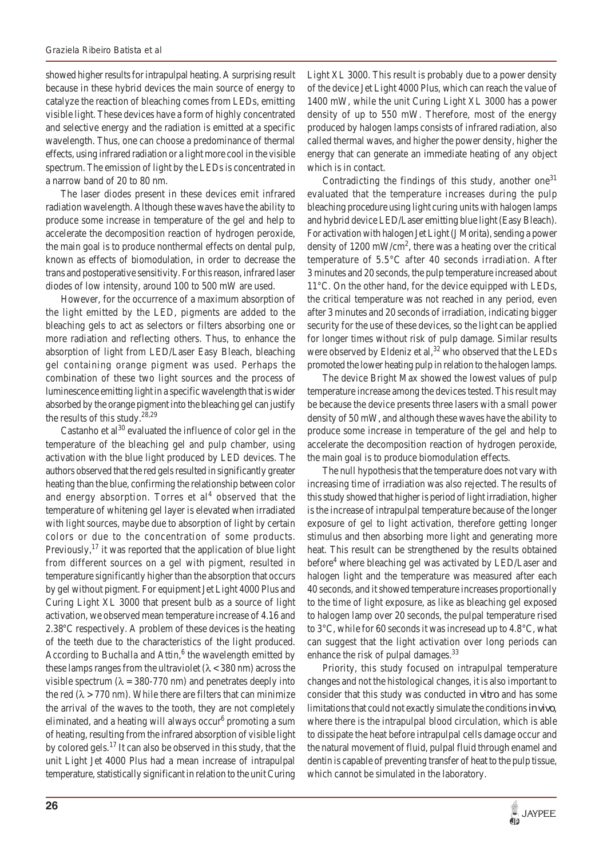showed higher results for intrapulpal heating. A surprising result because in these hybrid devices the main source of energy to catalyze the reaction of bleaching comes from LEDs, emitting visible light. These devices have a form of highly concentrated and selective energy and the radiation is emitted at a specific wavelength. Thus, one can choose a predominance of thermal effects, using infrared radiation or a light more cool in the visible spectrum. The emission of light by the LEDs is concentrated in a narrow band of 20 to 80 nm.

The laser diodes present in these devices emit infrared radiation wavelength. Although these waves have the ability to produce some increase in temperature of the gel and help to accelerate the decomposition reaction of hydrogen peroxide, the main goal is to produce nonthermal effects on dental pulp, known as effects of biomodulation, in order to decrease the trans and postoperative sensitivity. For this reason, infrared laser diodes of low intensity, around 100 to 500 mW are used.

However, for the occurrence of a maximum absorption of the light emitted by the LED, pigments are added to the bleaching gels to act as selectors or filters absorbing one or more radiation and reflecting others. Thus, to enhance the absorption of light from LED/Laser Easy Bleach, bleaching gel containing orange pigment was used. Perhaps the combination of these two light sources and the process of luminescence emitting light in a specific wavelength that is wider absorbed by the orange pigment into the bleaching gel can justify the results of this study. $28,29$ 

Castanho et  $al^{30}$  evaluated the influence of color gel in the temperature of the bleaching gel and pulp chamber, using activation with the blue light produced by LED devices. The authors observed that the red gels resulted in significantly greater heating than the blue, confirming the relationship between color and energy absorption. Torres et  $al<sup>4</sup>$  observed that the temperature of whitening gel layer is elevated when irradiated with light sources, maybe due to absorption of light by certain colors or due to the concentration of some products. Previously, $^{17}$  it was reported that the application of blue light from different sources on a gel with pigment, resulted in temperature significantly higher than the absorption that occurs by gel without pigment. For equipment Jet Light 4000 Plus and Curing Light XL 3000 that present bulb as a source of light activation, we observed mean temperature increase of 4.16 and 2.38°C respectively. A problem of these devices is the heating of the teeth due to the characteristics of the light produced. According to Buchalla and Attin,<sup>6</sup> the wavelength emitted by these lamps ranges from the ultraviolet  $(\lambda < 380 \text{ nm})$  across the visible spectrum ( $\lambda = 380-770$  nm) and penetrates deeply into the red ( $\lambda$  > 770 nm). While there are filters that can minimize the arrival of the waves to the tooth, they are not completely eliminated, and a heating will always occur<sup>6</sup> promoting a sum of heating, resulting from the infrared absorption of visible light by colored gels.17 It can also be observed in this study, that the unit Light Jet 4000 Plus had a mean increase of intrapulpal temperature, statistically significant in relation to the unit Curing

Light XL 3000. This result is probably due to a power density of the device Jet Light 4000 Plus, which can reach the value of 1400 mW, while the unit Curing Light XL 3000 has a power density of up to 550 mW. Therefore, most of the energy produced by halogen lamps consists of infrared radiation, also called thermal waves, and higher the power density, higher the energy that can generate an immediate heating of any object which is in contact.

Contradicting the findings of this study, another one $31$ evaluated that the temperature increases during the pulp bleaching procedure using light curing units with halogen lamps and hybrid device LED/Laser emitting blue light (Easy Bleach). For activation with halogen Jet Light (J Morita), sending a power density of 1200 mW/cm<sup>2</sup>, there was a heating over the critical temperature of 5.5°C after 40 seconds irradiation. After 3 minutes and 20 seconds, the pulp temperature increased about 11°C. On the other hand, for the device equipped with LEDs, the critical temperature was not reached in any period, even after 3 minutes and 20 seconds of irradiation, indicating bigger security for the use of these devices, so the light can be applied for longer times without risk of pulp damage. Similar results were observed by Eldeniz et al,  $32$  who observed that the LEDs promoted the lower heating pulp in relation to the halogen lamps.

The device Bright Max showed the lowest values of pulp temperature increase among the devices tested. This result may be because the device presents three lasers with a small power density of 50 mW, and although these waves have the ability to produce some increase in temperature of the gel and help to accelerate the decomposition reaction of hydrogen peroxide, the main goal is to produce biomodulation effects.

The null hypothesis that the temperature does not vary with increasing time of irradiation was also rejected. The results of this study showed that higher is period of light irradiation, higher is the increase of intrapulpal temperature because of the longer exposure of gel to light activation, therefore getting longer stimulus and then absorbing more light and generating more heat. This result can be strengthened by the results obtained before<sup>4</sup> where bleaching gel was activated by LED/Laser and halogen light and the temperature was measured after each 40 seconds, and it showed temperature increases proportionally to the time of light exposure, as like as bleaching gel exposed to halogen lamp over 20 seconds, the pulpal temperature rised to 3°C, while for 60 seconds it was incresead up to 4.8°C, what can suggest that the light activation over long periods can enhance the risk of pulpal damages.<sup>33</sup>

Priority, this study focused on intrapulpal temperature changes and not the histological changes, it is also important to consider that this study was conducted *in vitro* and has some limitations that could not exactly simulate the conditions *in vivo*, where there is the intrapulpal blood circulation, which is able to dissipate the heat before intrapulpal cells damage occur and the natural movement of fluid, pulpal fluid through enamel and dentin is capable of preventing transfer of heat to the pulp tissue, which cannot be simulated in the laboratory.